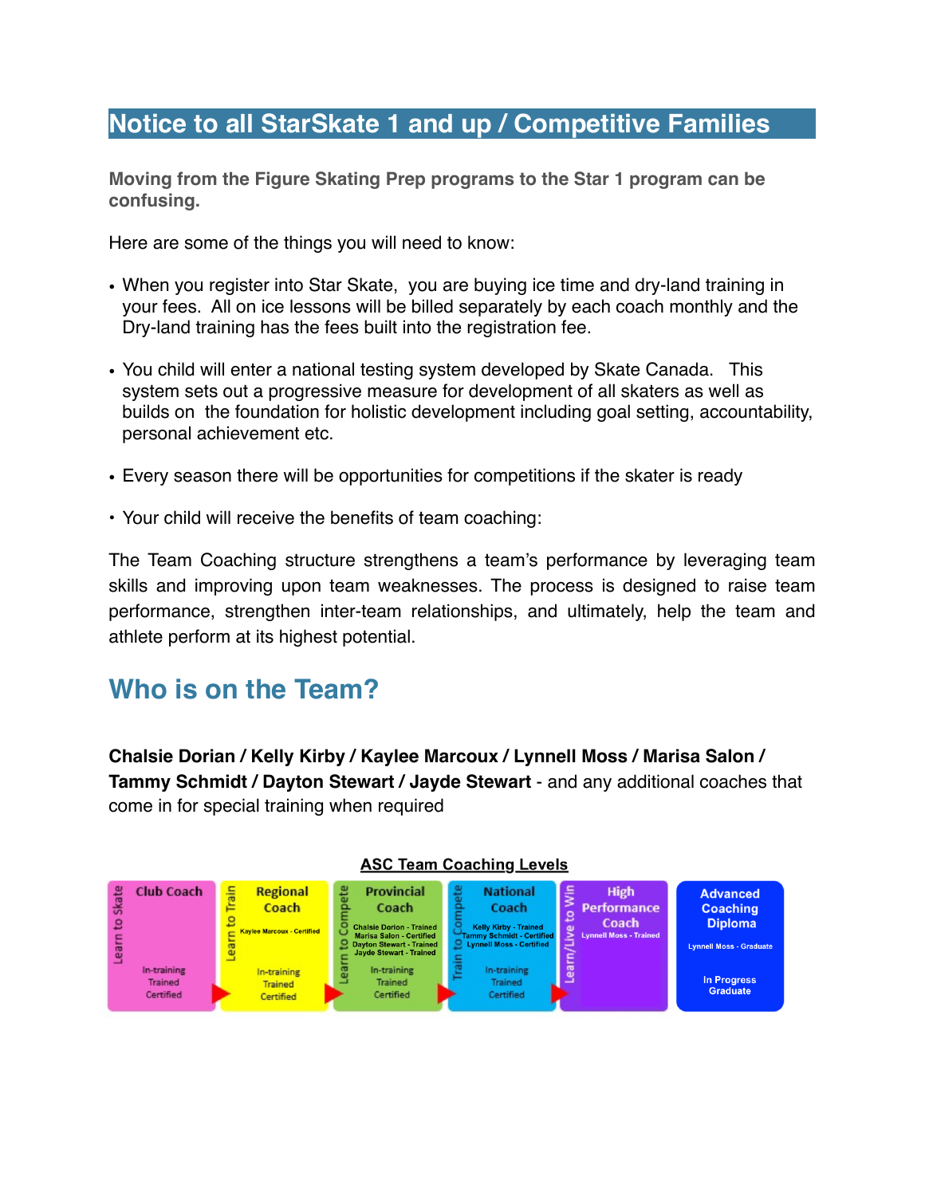### **Notice to all StarSkate 1 and up / Competitive Families**

**Moving from the Figure Skating Prep programs to the Star 1 program can be confusing.**

Here are some of the things you will need to know:

- When you register into Star Skate, you are buying ice time and dry-land training in your fees. All on ice lessons will be billed separately by each coach monthly and the Dry-land training has the fees built into the registration fee.
- You child will enter a national testing system developed by Skate Canada. This system sets out a progressive measure for development of all skaters as well as builds on the foundation for holistic development including goal setting, accountability, personal achievement etc.
- Every season there will be opportunities for competitions if the skater is ready
- Your child will receive the benefits of team coaching:

The Team Coaching structure strengthens a team's performance by leveraging team skills and improving upon team weaknesses. The process is designed to raise team performance, strengthen inter-team relationships, and ultimately, help the team and athlete perform at its highest potential.

## **Who is on the Team?**

**Chalsie Dorian / Kelly Kirby / Kaylee Marcoux / Lynnell Moss / Marisa Salon / Tammy Schmidt / Dayton Stewart / Jayde Stewart** - and any additional coaches that come in for special training when required



#### **ASC Team Coaching Levels**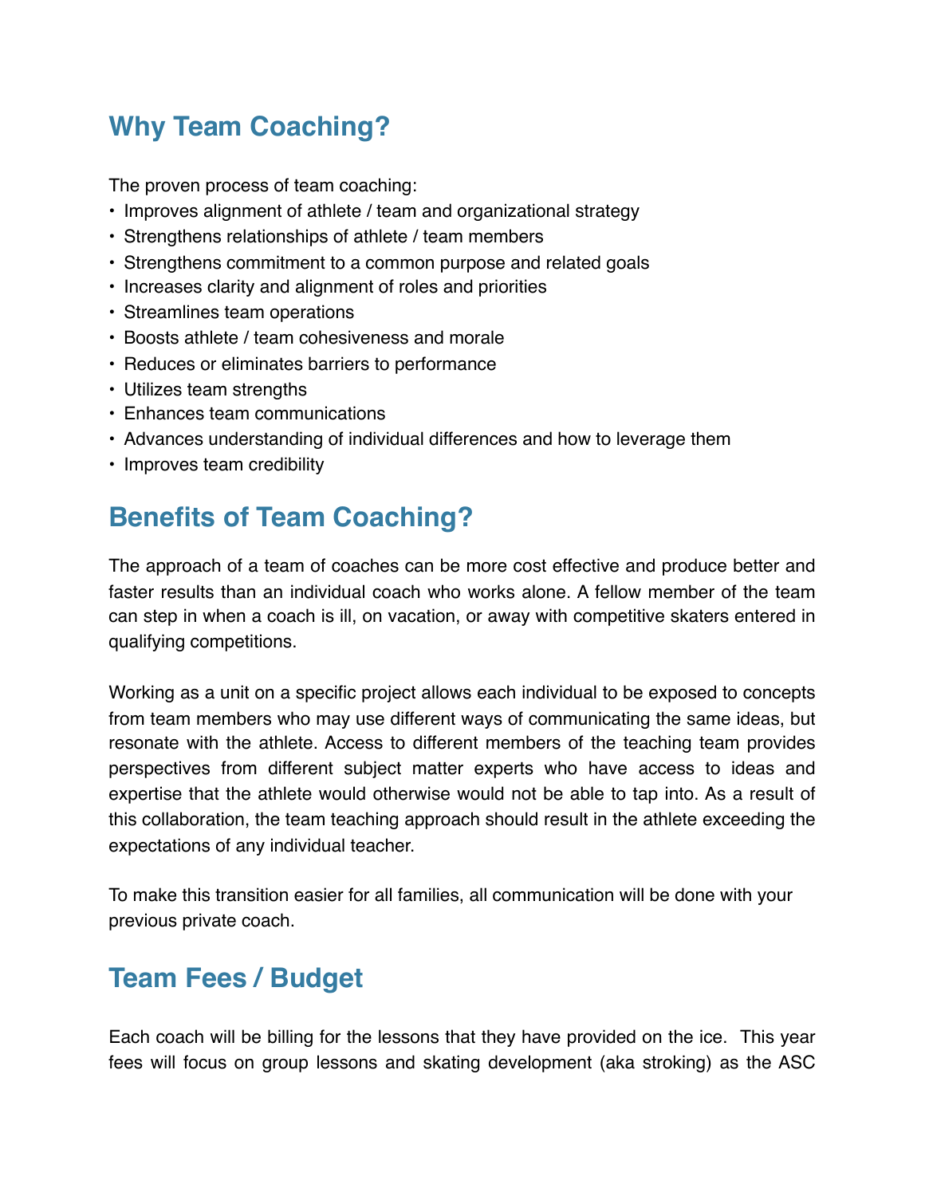# **Why Team Coaching?**

The proven process of team coaching:

- Improves alignment of athlete / team and organizational strategy
- Strengthens relationships of athlete / team members
- Strengthens commitment to a common purpose and related goals
- Increases clarity and alignment of roles and priorities
- Streamlines team operations
- Boosts athlete / team cohesiveness and morale
- Reduces or eliminates barriers to performance
- Utilizes team strengths
- Enhances team communications
- Advances understanding of individual differences and how to leverage them
- Improves team credibility

## **Benefits of Team Coaching?**

The approach of a team of coaches can be more cost effective and produce better and faster results than an individual coach who works alone. A fellow member of the team can step in when a coach is ill, on vacation, or away with competitive skaters entered in qualifying competitions.

Working as a unit on a specific project allows each individual to be exposed to concepts from team members who may use different ways of communicating the same ideas, but resonate with the athlete. Access to different members of the teaching team provides perspectives from different subject matter experts who have access to ideas and expertise that the athlete would otherwise would not be able to tap into. As a result of this collaboration, the team teaching approach should result in the athlete exceeding the expectations of any individual teacher.

To make this transition easier for all families, all communication will be done with your previous private coach.

# **Team Fees / Budget**

Each coach will be billing for the lessons that they have provided on the ice. This year fees will focus on group lessons and skating development (aka stroking) as the ASC